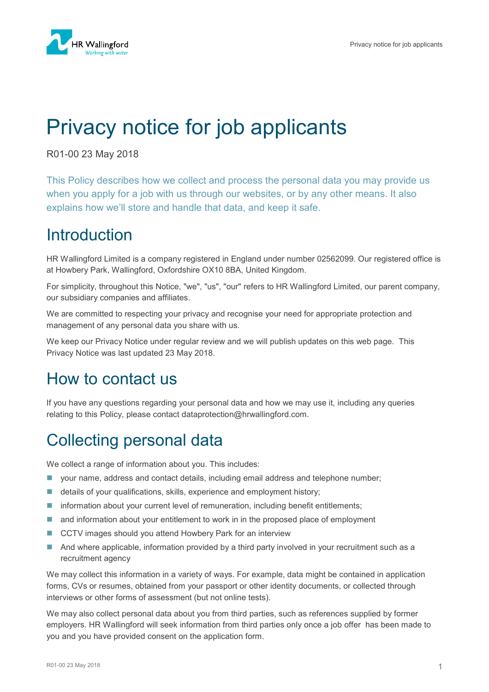# Privacy notice for job applicants

R01-00 23 May 2018

This Policy describes how we collect and process the personal data you may provide us when you apply for a job with us through our websites, or by any other means. It also explains how we'll store and handle that data, and keep it safe.

### **Introduction**

HR Wallingford Limited is a company registered in England under number 02562099. Our registered office is at Howbery Park, Wallingford, Oxfordshire OX10 8BA, United Kingdom.

For simplicity, throughout this Notice, "we", "us", "our" refers to HR Wallingford Limited, our parent company, our subsidiary companies and affiliates.

We are committed to respecting your privacy and recognise your need for appropriate protection and management of any personal data you share with us.

We keep our Privacy Notice under regular review and we will publish updates on this web page. This Privacy Notice was last updated 23 May 2018.

### How to contact us

If you have any questions regarding your personal data and how we may use it, including any queries relating to this Policy, please contact dataprotection@hrwallingford.com.

### Collecting personal data

We collect a range of information about you. This includes:

- your name, address and contact details, including email address and telephone number;
- details of your qualifications, skills, experience and employment history;
- **Information about your current level of remuneration, including benefit entitlements;**
- **and information about your entitlement to work in in the proposed place of employment**
- CCTV images should you attend Howbery Park for an interview
- And where applicable, information provided by a third party involved in your recruitment such as a recruitment agency

We may collect this information in a variety of ways. For example, data might be contained in application forms, CVs or resumes, obtained from your passport or other identity documents, or collected through interviews or other forms of assessment (but not online tests).

We may also collect personal data about you from third parties, such as references supplied by former employers. HR Wallingford will seek information from third parties only once a job offer has been made to you and you have provided consent on the application form.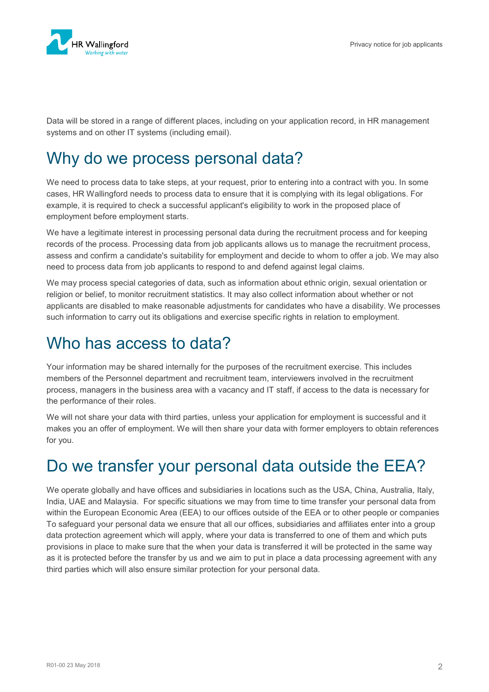

Data will be stored in a range of different places, including on your application record, in HR management systems and on other IT systems (including email).

#### Why do we process personal data?

We need to process data to take steps, at your request, prior to entering into a contract with you. In some cases, HR Wallingford needs to process data to ensure that it is complying with its legal obligations. For example, it is required to check a successful applicant's eligibility to work in the proposed place of employment before employment starts.

We have a legitimate interest in processing personal data during the recruitment process and for keeping records of the process. Processing data from job applicants allows us to manage the recruitment process, assess and confirm a candidate's suitability for employment and decide to whom to offer a job. We may also need to process data from job applicants to respond to and defend against legal claims.

We may process special categories of data, such as information about ethnic origin, sexual orientation or religion or belief, to monitor recruitment statistics. It may also collect information about whether or not applicants are disabled to make reasonable adjustments for candidates who have a disability. We processes such information to carry out its obligations and exercise specific rights in relation to employment.

#### Who has access to data?

Your information may be shared internally for the purposes of the recruitment exercise. This includes members of the Personnel department and recruitment team, interviewers involved in the recruitment process, managers in the business area with a vacancy and IT staff, if access to the data is necessary for the performance of their roles.

We will not share your data with third parties, unless your application for employment is successful and it makes you an offer of employment. We will then share your data with former employers to obtain references for you.

### Do we transfer your personal data outside the EEA?

We operate globally and have offices and subsidiaries in locations such as the USA, China, Australia, Italy, India, UAE and Malaysia. For specific situations we may from time to time transfer your personal data from within the European Economic Area (EEA) to our offices outside of the EEA or to other people or companies To safeguard your personal data we ensure that all our offices, subsidiaries and affiliates enter into a group data protection agreement which will apply, where your data is transferred to one of them and which puts provisions in place to make sure that the when your data is transferred it will be protected in the same way as it is protected before the transfer by us and we aim to put in place a data processing agreement with any third parties which will also ensure similar protection for your personal data.